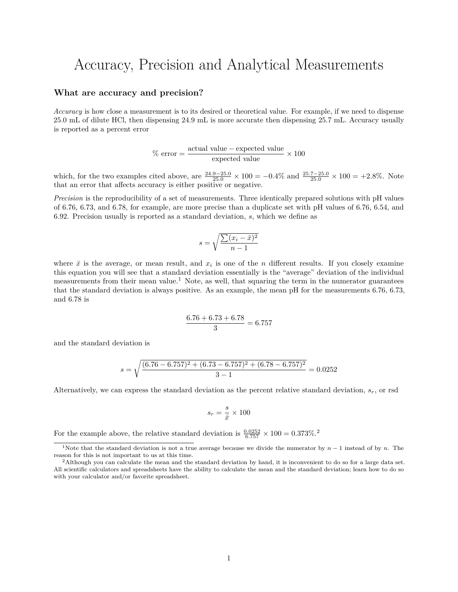# Accuracy, Precision and Analytical Measurements

#### **What are accuracy and precision?**

*Accuracy* is how close a measurement is to its desired or theoretical value. For example, if we need to dispense 25.0 mL of dilute HCl, then dispensing 24.9 mL is more accurate then dispensing 25.7 mL. Accuracy usually is reported as a percent error

$$
\% \text{ error} = \frac{\text{actual value} - \text{expected value}}{\text{expected value}} \times 100
$$

which, for the two examples cited above, are  $\frac{24.9-25.0}{25.0} \times 100 = -0.4\%$  and  $\frac{25.7-25.0}{25.0} \times 100 = +2.8\%$ . Note that an error that affects accuracy is either positive or negative.

*Precision* is the reproducibility of a set of measurements. Three identically prepared solutions with pH values of 6.76, 6.73, and 6.78, for example, are more precise than a duplicate set with pH values of 6.76, 6.54, and 6.92. Precision usually is reported as a standard deviation, *s*, which we define as

$$
s = \sqrt{\frac{\sum (x_i - \bar{x})^2}{n - 1}}
$$

where  $\bar{x}$  is the average, or mean result, and  $x_i$  is one of the *n* different results. If you closely examine this equation you will see that a standard deviation essentially is the "average" deviation of the individual measurements from their mean value.<sup>[1](#page-0-0)</sup> Note, as well, that squaring the term in the numerator guarantees that the standard deviation is always positive. As an example, the mean pH for the measurements 6.76, 6.73, and 6.78 is

$$
\frac{6.76 + 6.73 + 6.78}{3} = 6.757
$$

and the standard deviation is

$$
s = \sqrt{\frac{(6.76 - 6.757)^2 + (6.73 - 6.757)^2 + (6.78 - 6.757)^2}{3 - 1}} = 0.0252
$$

Alternatively, we can express the standard deviation as the percent relative standard deviation, *sr*, or rsd

$$
s_r = \frac{s}{\bar{x}} \times 100
$$

For the example above, the relative standard deviation is  $\frac{0.0252}{6.757} \times 100 = 0.373\%$  $\frac{0.0252}{6.757} \times 100 = 0.373\%$  $\frac{0.0252}{6.757} \times 100 = 0.373\%$ .<sup>2</sup>

<span id="page-0-0"></span><sup>&</sup>lt;sup>1</sup>Note that the standard deviation is not a true average because we divide the numerator by  $n-1$  instead of by *n*. The reason for this is not important to us at this time.

<span id="page-0-1"></span> $2$ Although you can calculate the mean and the standard deviation by hand, it is inconvenient to do so for a large data set. All scientific calculators and spreadsheets have the ability to calculate the mean and the standard deviation; learn how to do so with your calculator and/or favorite spreadsheet.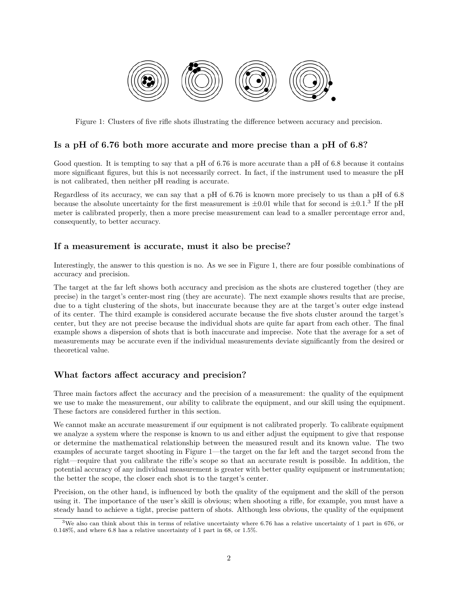

Figure 1: Clusters of five rifle shots illustrating the difference between accuracy and precision.

#### **Is a pH of 6.76 both more accurate and more precise than a pH of 6.8?**

Good question. It is tempting to say that a pH of 6.76 is more accurate than a pH of 6.8 because it contains more significant figures, but this is not necessarily correct. In fact, if the instrument used to measure the pH is not calibrated, then neither pH reading is accurate.

Regardless of its accuracy, we can say that a pH of 6.76 is known more precisely to us than a pH of 6.8 because the absolute uncertainty for the first measurement is  $\pm 0.01$  while that for second is  $\pm 0.1$ .<sup>[3](#page-1-0)</sup> If the pH meter is calibrated properly, then a more precise measurement can lead to a smaller percentage error and, consequently, to better accuracy.

### **If a measurement is accurate, must it also be precise?**

Interestingly, the answer to this question is no. As we see in Figure 1, there are four possible combinations of accuracy and precision.

The target at the far left shows both accuracy and precision as the shots are clustered together (they are precise) in the target's center-most ring (they are accurate). The next example shows results that are precise, due to a tight clustering of the shots, but inaccurate because they are at the target's outer edge instead of its center. The third example is considered accurate because the five shots cluster around the target's center, but they are not precise because the individual shots are quite far apart from each other. The final example shows a dispersion of shots that is both inaccurate and imprecise. Note that the average for a set of measurements may be accurate even if the individual measurements deviate significantly from the desired or theoretical value.

# **What factors affect accuracy and precision?**

Three main factors affect the accuracy and the precision of a measurement: the quality of the equipment we use to make the measurement, our ability to calibrate the equipment, and our skill using the equipment. These factors are considered further in this section.

We cannot make an accurate measurement if our equipment is not calibrated properly. To calibrate equipment we analyze a system where the response is known to us and either adjust the equipment to give that response or determine the mathematical relationship between the measured result and its known value. The two examples of accurate target shooting in Figure 1—the target on the far left and the target second from the right—require that you calibrate the rifle's scope so that an accurate result is possible. In addition, the potential accuracy of any individual measurement is greater with better quality equipment or instrumentation; the better the scope, the closer each shot is to the target's center.

Precision, on the other hand, is influenced by both the quality of the equipment and the skill of the person using it. The importance of the user's skill is obvious; when shooting a rifle, for example, you must have a steady hand to achieve a tight, precise pattern of shots. Although less obvious, the quality of the equipment

<span id="page-1-0"></span><sup>3</sup>We also can think about this in terms of relative uncertainty where 6.76 has a relative uncertainty of 1 part in 676, or 0.148%, and where 6.8 has a relative uncertainty of 1 part in 68, or 1.5%.